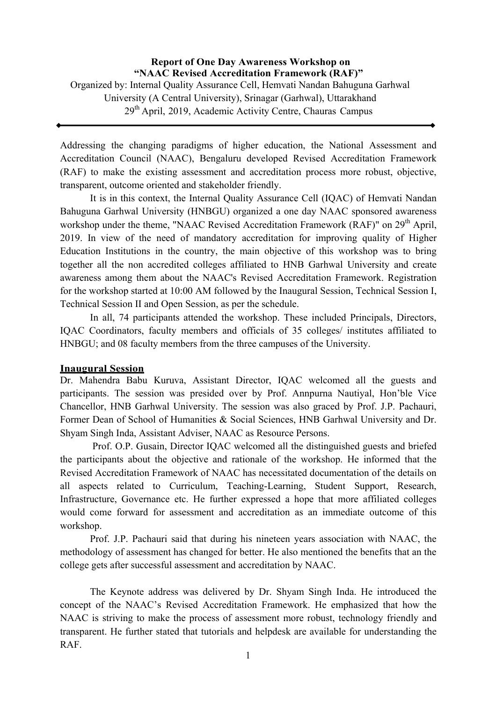**Report of One Day Awareness Workshop on "NAAC Revised Accreditation Framework (RAF)"** Organized by: Internal Quality Assurance Cell, Hemvati Nandan Bahuguna Garhwal University (A Central University), Srinagar (Garhwal), Uttarakhand  $29<sup>th</sup>$  April, 2019, Academic Activity Centre, Chauras Campus

Addressing the changing paradigms of higher education, the National Assessment and Accreditation Council (NAAC), Bengaluru developed Revised Accreditation Framework (RAF) to make the existing assessment and accreditation process more robust, objective, transparent, outcome oriented and stakeholder friendly.

It is in this context, the Internal Quality Assurance Cell (IQAC) of Hemvati Nandan Bahuguna Garhwal University (HNBGU) organized a one day NAAC sponsored awareness workshop under the theme, "NAAC Revised Accreditation Framework (RAF)" on 29<sup>th</sup> April, 2019. In view of the need of mandatory accreditation for improving quality of Higher Education Institutions in the country, the main objective of this workshop was to bring together all the non accredited colleges affiliated to HNB Garhwal University and create awareness among them about the NAAC's Revised Accreditation Framework. Registration for the workshop started at 10:00 AM followed by the Inaugural Session, Technical Session I, Technical Session II and Open Session, as per the schedule.

In all, 74 participants attended the workshop. These included Principals, Directors, IQAC Coordinators, faculty members and officials of 35 colleges/ institutes affiliated to HNBGU; and 08 faculty members from the three campuses of the University.

## **Inaugural Session**

Dr. Mahendra Babu Kuruva, Assistant Director, IQAC welcomed all the guests and participants. The session was presided over by Prof. Annpurna Nautiyal, Hon'ble Vice Chancellor, HNB Garhwal University. The session was also graced by Prof. J.P. Pachauri, Former Dean of School of Humanities & Social Sciences, HNB Garhwal University and Dr. Shyam Singh Inda, Assistant Adviser, NAAC as Resource Persons.

Prof. O.P. Gusain, Director IQAC welcomed all the distinguished guests and briefed the participants about the objective and rationale of the workshop. He informed that the Revised Accreditation Framework of NAAC has necessitated documentation of the details on all aspects related to Curriculum, Teaching-Learning, Student Support, Research, Infrastructure, Governance etc. He further expressed a hope that more affiliated colleges would come forward for assessment and accreditation as an immediate outcome of this workshop.

Prof. J.P. Pachauri said that during his nineteen years association with NAAC, the methodology of assessment has changed for better. He also mentioned the benefits that an the college gets after successful assessment and accreditation by NAAC.

The Keynote address was delivered by Dr. Shyam Singh Inda. He introduced the concept of the NAAC's Revised Accreditation Framework. He emphasized that how the NAAC is striving to make the process of assessment more robust, technology friendly and transparent. He further stated that tutorials and helpdesk are available for understanding the RAF.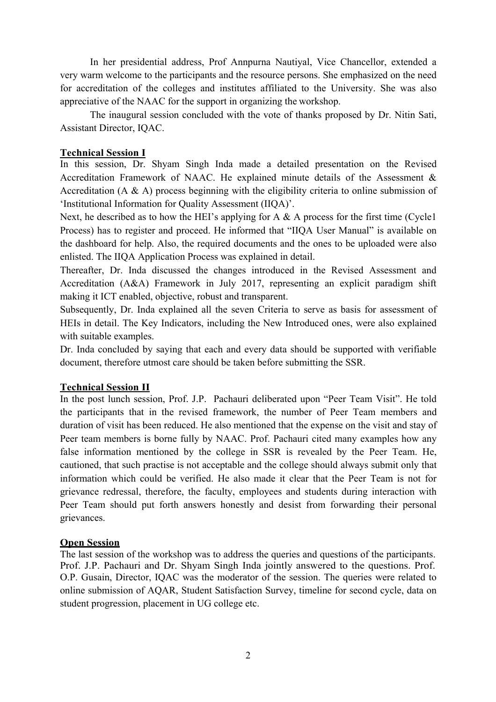In her presidential address, Prof Annpurna Nautiyal, Vice Chancellor, extended a very warm welcome to the participants and the resource persons. She emphasized on the need for accreditation of the colleges and institutes affiliated to the University. She was also appreciative of the NAAC for the support in organizing the workshop.

The inaugural session concluded with the vote of thanks proposed by Dr. Nitin Sati, Assistant Director, IQAC.

## **Technical Session I**

In this session, Dr. Shyam Singh Inda made a detailed presentation on the Revised Accreditation Framework of NAAC. He explained minute details of the Assessment & Accreditation (A & A) process beginning with the eligibility criteria to online submission of 'Institutional Information for Quality Assessment (IIQA)'.

Next, he described as to how the HEI's applying for A  $\&$  A process for the first time (Cycle1) Process) has to register and proceed. He informed that "IIQA User Manual" is available on the dashboard for help. Also, the required documents and the ones to be uploaded were also enlisted. The IIQA Application Process was explained in detail.

Thereafter, Dr. Inda discussed the changes introduced in the Revised Assessment and Accreditation (A&A) Framework in July 2017, representing an explicit paradigm shift making it ICT enabled, objective, robust and transparent.

Subsequently, Dr. Inda explained all the seven Criteria to serve as basis for assessment of HEIs in detail. The Key Indicators, including the New Introduced ones, were also explained with suitable examples.

Dr. Inda concluded by saying that each and every data should be supported with verifiable document, therefore utmost care should be taken before submitting the SSR.

## **Technical Session II**

In the post lunch session, Prof. J.P. Pachauri deliberated upon "Peer Team Visit". He told the participants that in the revised framework, the number of Peer Team members and duration of visit has been reduced. He also mentioned that the expense on the visit and stay of Peer team members is borne fully by NAAC. Prof. Pachauri cited many examples how any false information mentioned by the college in SSR is revealed by the Peer Team. He, cautioned, that such practise is not acceptable and the college should always submit only that information which could be verified. He also made it clear that the Peer Team is not for grievance redressal, therefore, the faculty, employees and students during interaction with Peer Team should put forth answers honestly and desist from forwarding their personal grievances.

## **Open Session**

The last session of the workshop was to address the queries and questions of the participants. Prof. J.P. Pachauri and Dr. Shyam Singh Inda jointly answered to the questions. Prof. O.P. Gusain, Director, IQAC was the moderator of the session. The queries were related to online submission of AQAR, Student Satisfaction Survey, timeline for second cycle, data on student progression, placement in UG college etc.